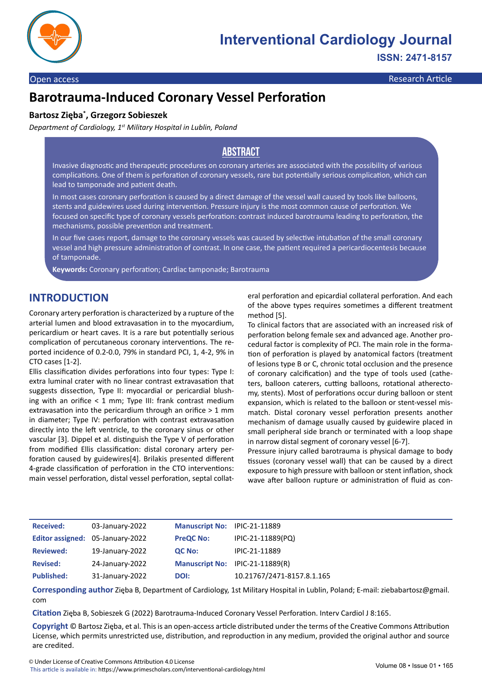

#### Open access **Research Article** Companion and Companion and Companion and Companion and Companion and Companion and Companion and Companion and Companion and Companion and Companion and Companion and Companion and Companion

# **Barotrauma-Induced Coronary Vessel Perforation**

#### **Bartosz Zięba\* , Grzegorz Sobieszek**

*Department of Cardiology, 1st Military Hospital in Lublin, Poland*

### **Abstract**

Invasive diagnostic and therapeutic procedures on coronary arteries are associated with the possibility of various complications. One of them is perforation of coronary vessels, rare but potentially serious complication, which can lead to tamponade and patient death.

In most cases coronary perforation is caused by a direct damage of the vessel wall caused by tools like balloons, stents and guidewires used during intervention. Pressure injury is the most common cause of perforation. We focused on specific type of coronary vessels perforation: contrast induced barotrauma leading to perforation, the mechanisms, possible prevention and treatment.

In our five cases report, damage to the coronary vessels was caused by selective intubation of the small coronary vessel and high pressure administration of contrast. In one case, the patient required a pericardiocentesis because of tamponade.

**Keywords:** Coronary perforation; Cardiac tamponade; Barotrauma

### **INTRODUCTION**

Coronary artery perforation is characterized by a rupture of the arterial lumen and blood extravasation in to the myocardium, pericardium or heart caves. It is a rare but potentially serious complication of percutaneous coronary interventions. The reported incidence of 0.2-0.0, 79% in standard PCI, 1, 4-2, 9% in CTO cases [1-2].

Ellis classification divides perforations into four types: Type I: extra luminal crater with no linear contrast extravasation that suggests dissection, Type II: myocardial or pericardial blushing with an orifice < 1 mm; Type III: frank contrast medium extravasation into the pericardium through an orifice > 1 mm in diameter; Type IV: perforation with contrast extravasation directly into the left ventricle, to the coronary sinus or other vascular [3]. Dippel et al. distinguish the Type V of perforation from modified Ellis classification: distal coronary artery perforation caused by guidewires[4]. Brilakis presented different 4-grade classification of perforation in the CTO interventions: main vessel perforation, distal vessel perforation, septal collateral perforation and epicardial collateral perforation. And each of the above types requires sometimes a different treatment method [5].

To clinical factors that are associated with an increased risk of perforation belong female sex and advanced age. Another procedural factor is complexity of PCI. The main role in the formation of perforation is played by anatomical factors (treatment of lesions type B or C, chronic total occlusion and the presence of coronary calcification) and the type of tools used (catheters, balloon caterers, cutting balloons, rotational atherectomy, stents). Most of perforations occur during balloon or stent expansion, which is related to the balloon or stent-vessel mismatch. Distal coronary vessel perforation presents another mechanism of damage usually caused by guidewire placed in small peripheral side branch or terminated with a loop shape in narrow distal segment of coronary vessel [6-7].

Pressure injury called barotrauma is physical damage to body tissues (coronary vessel wall) that can be caused by a direct exposure to high pressure with balloon or stent inflation, shock wave after balloon rupture or administration of fluid as con-

| <b>Received:</b>  | 03-January-2022                  | Manuscript No: IPIC-21-11889 |                                 |
|-------------------|----------------------------------|------------------------------|---------------------------------|
|                   | Editor assigned: 05-January-2022 | <b>PreQC No:</b>             | IPIC-21-11889(PQ)               |
| <b>Reviewed:</b>  | 19-January-2022                  | QC No:                       | IPIC-21-11889                   |
| <b>Revised:</b>   | 24-January-2022                  |                              | Manuscript No: IPIC-21-11889(R) |
| <b>Published:</b> | 31-January-2022                  | DOI:                         | 10.21767/2471-8157.8.1.165      |

**Corresponding author** Zięba B, Department of Cardiology, 1st Military Hospital in Lublin, Poland; E-mail: ziebabartosz@gmail. com

**Citation** Zięba B, Sobieszek G (2022) Barotrauma-Induced Coronary Vessel Perforation. Interv Cardiol J 8:165.

**Copyright** © Bartosz Zięba, et al. This is an open-access article distributed under the terms of the Creative Commons Attribution License, which permits unrestricted use, distribution, and reproduction in any medium, provided the original author and source are credited.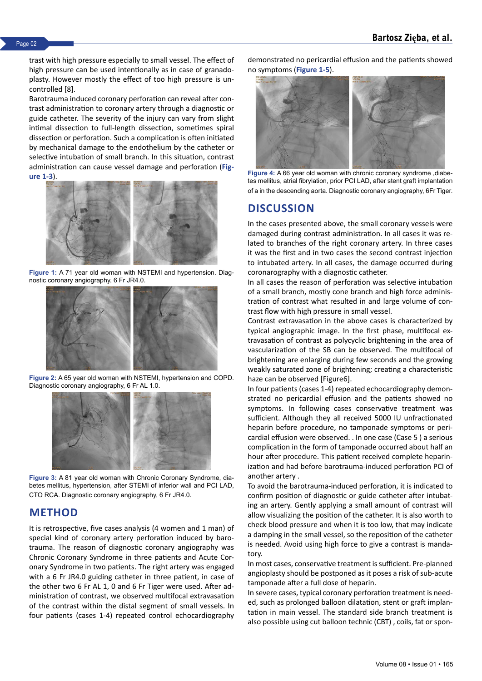trast with high pressure especially to small vessel. The effect of high pressure can be used intentionally as in case of granadoplasty. However mostly the effect of too high pressure is uncontrolled [8].

Barotrauma induced coronary perforation can reveal after contrast administration to coronary artery through a diagnostic or guide catheter. The severity of the injury can vary from slight intimal dissection to full-length dissection, sometimes spiral dissection or perforation. Such a complication is often initiated by mechanical damage to the endothelium by the catheter or selective intubation of small branch. In this situation, contrast administration can cause vessel damage and perforation (**Figure 1-3**).



**Figure 1:** A 71 year old woman with NSTEMI and hypertension. Diagnostic coronary angiography, 6 Fr JR4.0.



**Figure 2:** A 65 year old woman with NSTEMI, hypertension and COPD. Diagnostic coronary angiography, 6 Fr AL 1.0.



**Figure 3:** A 81 year old woman with Chronic Coronary Syndrome, diabetes mellitus, hypertension, after STEMI of inferior wall and PCI LAD, CTO RCA. Diagnostic coronary angiography, 6 Fr JR4.0.

### **METHOD**

It is retrospective, five cases analysis (4 women and 1 man) of special kind of coronary artery perforation induced by barotrauma. The reason of diagnostic coronary angiography was Chronic Coronary Syndrome in three patients and Acute Coronary Syndrome in two patients. The right artery was engaged with a 6 Fr JR4.0 guiding catheter in three patient, in case of the other two 6 Fr AL 1, 0 and 6 Fr Tiger were used. After administration of contrast, we observed multifocal extravasation of the contrast within the distal segment of small vessels. In four patients (cases 1-4) repeated control echocardiography

demonstrated no pericardial effusion and the patients showed no symptoms (**Figure 1-5**).



**Figure 4:** A 66 year old woman with chronic coronary syndrome ,diabetes mellitus, atrial fibrylation, prior PCI LAD, after stent graft implantation of a in the descending aorta. Diagnostic coronary angiography, 6Fr Tiger.

### **DISCUSSION**

In the cases presented above, the small coronary vessels were damaged during contrast administration. In all cases it was related to branches of the right coronary artery. In three cases it was the first and in two cases the second contrast injection to intubated artery. In all cases, the damage occurred during coronarography with a diagnostic catheter.

In all cases the reason of perforation was selective intubation of a small branch, mostly cone branch and high force administration of contrast what resulted in and large volume of contrast flow with high pressure in small vessel.

Contrast extravasation in the above cases is characterized by typical angiographic image. In the first phase, multifocal extravasation of contrast as polycyclic brightening in the area of vascularization of the SB can be observed. The multifocal of brightening are enlarging during few seconds and the growing weakly saturated zone of brightening; creating a characteristic haze can be observed [Figure6].

In four patients (cases 1-4) repeated echocardiography demonstrated no pericardial effusion and the patients showed no symptoms. In following cases conservative treatment was sufficient. Although they all received 5000 IU unfractionated heparin before procedure, no tamponade symptoms or pericardial effusion were observed. . In one case (Case 5 ) a serious complication in the form of tamponade occurred about half an hour after procedure. This patient received complete heparinization and had before barotrauma-induced perforation PCI of another artery .

To avoid the barotrauma-induced perforation, it is indicated to confirm position of diagnostic or guide catheter after intubating an artery. Gently applying a small amount of contrast will allow visualizing the position of the catheter. It is also worth to check blood pressure and when it is too low, that may indicate a damping in the small vessel, so the reposition of the catheter is needed. Avoid using high force to give a contrast is mandatory.

In most cases, conservative treatment is sufficient. Pre-planned angioplasty should be postponed as it poses a risk of sub-acute tamponade after a full dose of heparin.

In severe cases, typical coronary perforation treatment is needed, such as prolonged balloon dilatation, stent or graft implantation in main vessel. The standard side branch treatment is also possible using cut balloon technic (CBT) , coils, fat or spon-